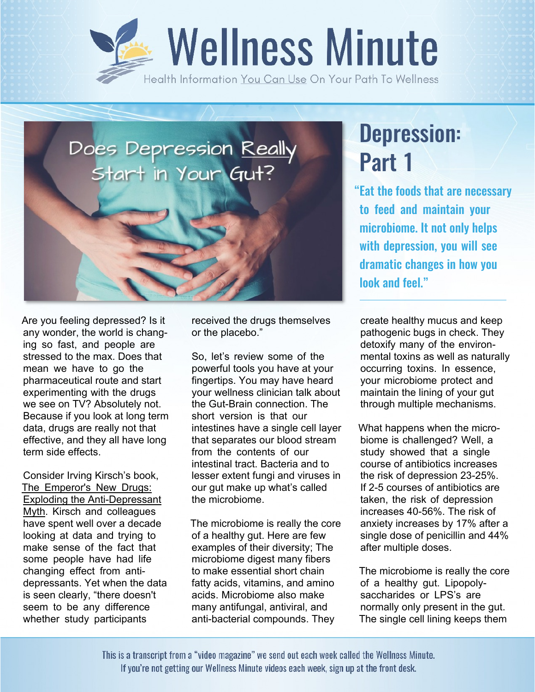



Are you feeling depressed? Is it any wonder, the world is changing so fast, and people are stressed to the max. Does that mean we have to go the pharmaceutical route and start experimenting with the drugs we see on TV? Absolutely not. Because if you look at long term data, drugs are really not that effective, and they all have long term side effects.

Consider Irving Kirsch's book, The Emperor's New Drugs: Exploding the Anti-Depressant Myth. Kirsch and colleagues have spent well over a decade looking at data and trying to make sense of the fact that some people have had life changing effect from antidepressants. Yet when the data is seen clearly, "there doesn't seem to be any difference whether study participants

received the drugs themselves or the placebo."

So, let's review some of the powerful tools you have at your fingertips. You may have heard your wellness clinician talk about the Gut-Brain connection. The short version is that our intestines have a single cell layer that separates our blood stream from the contents of our intestinal tract. Bacteria and to lesser extent fungi and viruses in our gut make up what's called the microbiome.

The microbiome is really the core of a healthy gut. Here are few examples of their diversity; The microbiome digest many fibers to make essential short chain fatty acids, vitamins, and amino acids. Microbiome also make many antifungal, antiviral, and anti-bacterial compounds. They

## Depression: Part 1

"Eat the foods that are necessary to feed and maintain your microbiome. It not only helps with depression, you will see dramatic changes in how you look and feel."

create healthy mucus and keep pathogenic bugs in check. They detoxify many of the environmental toxins as well as naturally occurring toxins. In essence, your microbiome protect and maintain the lining of your gut through multiple mechanisms.

What happens when the microbiome is challenged? Well, a study showed that a single course of antibiotics increases the risk of depression 23-25%. If 2-5 courses of antibiotics are taken, the risk of depression increases 40-56%. The risk of anxiety increases by 17% after a single dose of penicillin and 44% after multiple doses.

The microbiome is really the core of a healthy gut. Lipopolysaccharides or LPS's are normally only present in the gut. The single cell lining keeps them

This is a transcript from a "video magazine" we send out each week called the Wellness Minute. If you're not getting our Wellness Minute videos each week, sign up at the front desk.